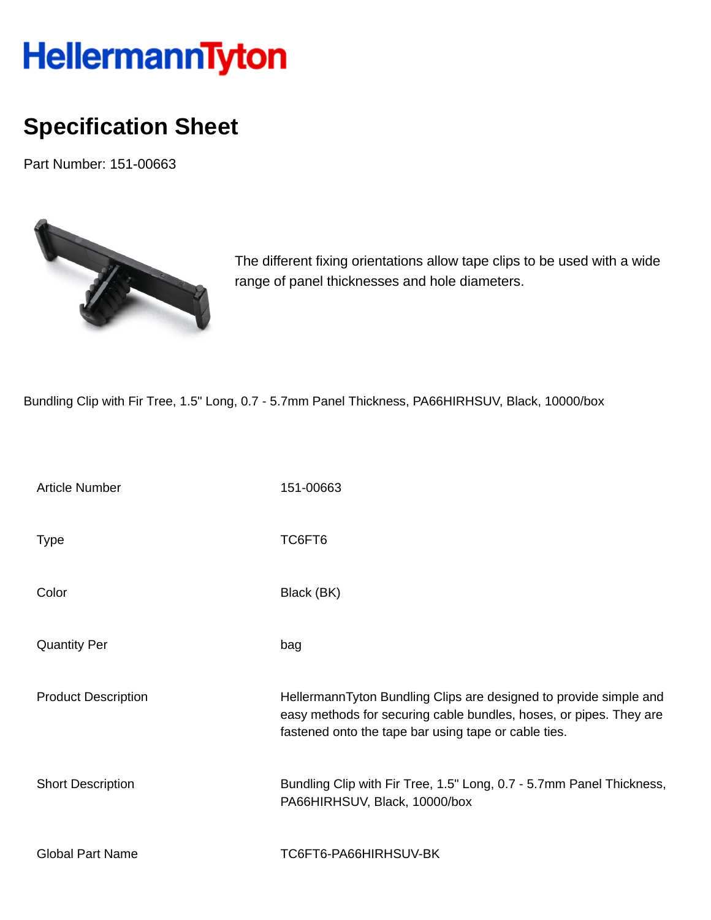## HellermannTyton

## **Specification Sheet**

Part Number: 151-00663



The different fixing orientations allow tape clips to be used with a wide range of panel thicknesses and hole diameters.

Bundling Clip with Fir Tree, 1.5" Long, 0.7 - 5.7mm Panel Thickness, PA66HIRHSUV, Black, 10000/box

| <b>Article Number</b>      | 151-00663                                                                                                                                                                                       |
|----------------------------|-------------------------------------------------------------------------------------------------------------------------------------------------------------------------------------------------|
| <b>Type</b>                | TC6FT6                                                                                                                                                                                          |
| Color                      | Black (BK)                                                                                                                                                                                      |
| <b>Quantity Per</b>        | bag                                                                                                                                                                                             |
| <b>Product Description</b> | HellermannTyton Bundling Clips are designed to provide simple and<br>easy methods for securing cable bundles, hoses, or pipes. They are<br>fastened onto the tape bar using tape or cable ties. |
| <b>Short Description</b>   | Bundling Clip with Fir Tree, 1.5" Long, 0.7 - 5.7mm Panel Thickness,<br>PA66HIRHSUV, Black, 10000/box                                                                                           |
| <b>Global Part Name</b>    | TC6FT6-PA66HIRHSUV-BK                                                                                                                                                                           |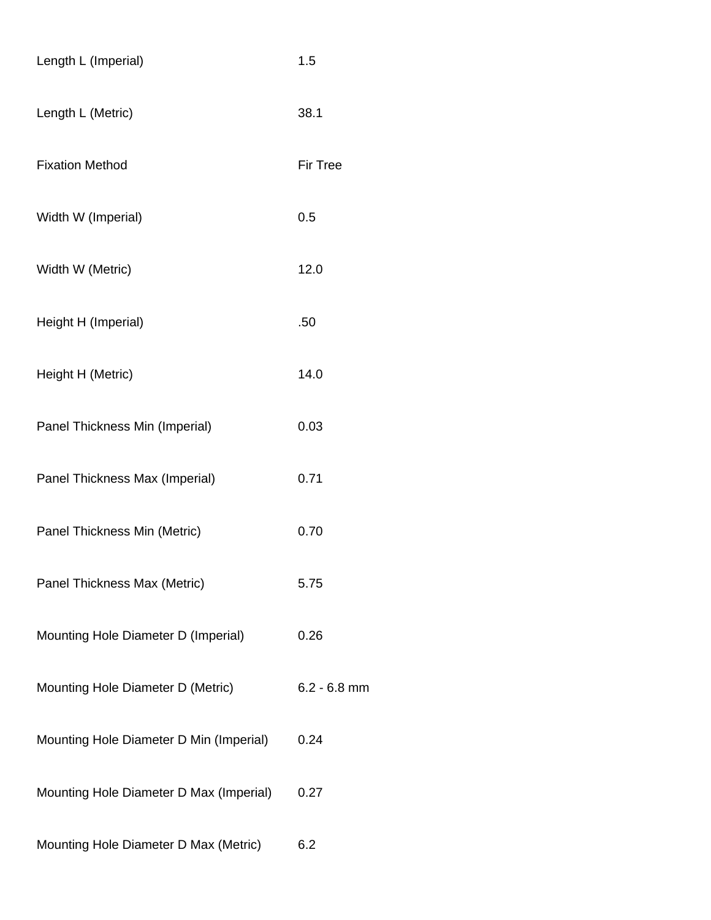| Length L (Imperial)                     | 1.5             |
|-----------------------------------------|-----------------|
| Length L (Metric)                       | 38.1            |
| <b>Fixation Method</b>                  | <b>Fir Tree</b> |
| Width W (Imperial)                      | 0.5             |
| Width W (Metric)                        | 12.0            |
| Height H (Imperial)                     | .50             |
| Height H (Metric)                       | 14.0            |
| Panel Thickness Min (Imperial)          | 0.03            |
| Panel Thickness Max (Imperial)          | 0.71            |
| Panel Thickness Min (Metric)            | 0.70            |
| Panel Thickness Max (Metric)            | 5.75            |
| Mounting Hole Diameter D (Imperial)     | 0.26            |
| Mounting Hole Diameter D (Metric)       | $6.2 - 6.8$ mm  |
| Mounting Hole Diameter D Min (Imperial) | 0.24            |
| Mounting Hole Diameter D Max (Imperial) | 0.27            |
| Mounting Hole Diameter D Max (Metric)   | 6.2             |